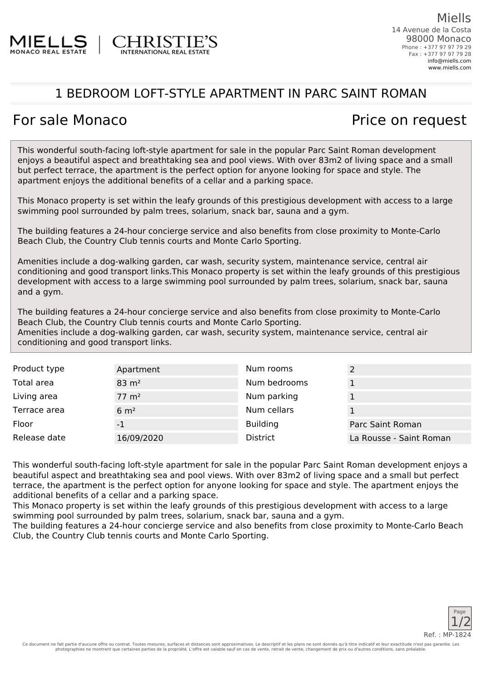

## 1 BEDROOM LOFT-STYLE APARTMENT IN PARC SAINT ROMAN

## For sale Monaco **Price on request**

This wonderful south-facing loft-style apartment for sale in the popular Parc Saint Roman development enjoys a beautiful aspect and breathtaking sea and pool views. With over 83m2 of living space and a small but perfect terrace, the apartment is the perfect option for anyone looking for space and style. The apartment enjoys the additional benefits of a cellar and a parking space.

This Monaco property is set within the leafy grounds of this prestigious development with access to a large swimming pool surrounded by palm trees, solarium, snack bar, sauna and a gym.

The building features a 24-hour concierge service and also benefits from close proximity to Monte-Carlo Beach Club, the Country Club tennis courts and Monte Carlo Sporting.

Amenities include a dog-walking garden, car wash, security system, maintenance service, central air conditioning and good transport links.This Monaco property is set within the leafy grounds of this prestigious development with access to a large swimming pool surrounded by palm trees, solarium, snack bar, sauna and a gym.

The building features a 24-hour concierge service and also benefits from close proximity to Monte-Carlo Beach Club, the Country Club tennis courts and Monte Carlo Sporting.

Amenities include a dog-walking garden, car wash, security system, maintenance service, central air conditioning and good transport links.

| Product type | Apartment          | Num rooms       |                         |
|--------------|--------------------|-----------------|-------------------------|
| Total area   | $83 \text{ m}^2$   | Num bedrooms    |                         |
| Living area  | $77 \; \text{m}^2$ | Num parking     |                         |
| Terrace area | $6 \text{ m}^2$    | Num cellars     |                         |
| Floor        | -1                 | <b>Building</b> | Parc Saint Roman        |
| Release date | 16/09/2020         | <b>District</b> | La Rousse - Saint Roman |

This wonderful south-facing loft-style apartment for sale in the popular Parc Saint Roman development enjoys a beautiful aspect and breathtaking sea and pool views. With over 83m2 of living space and a small but perfect terrace, the apartment is the perfect option for anyone looking for space and style. The apartment enjoys the additional benefits of a cellar and a parking space.

This Monaco property is set within the leafy grounds of this prestigious development with access to a large swimming pool surrounded by palm trees, solarium, snack bar, sauna and a gym.

The building features a 24-hour concierge service and also benefits from close proximity to Monte-Carlo Beach Club, the Country Club tennis courts and Monte Carlo Sporting.